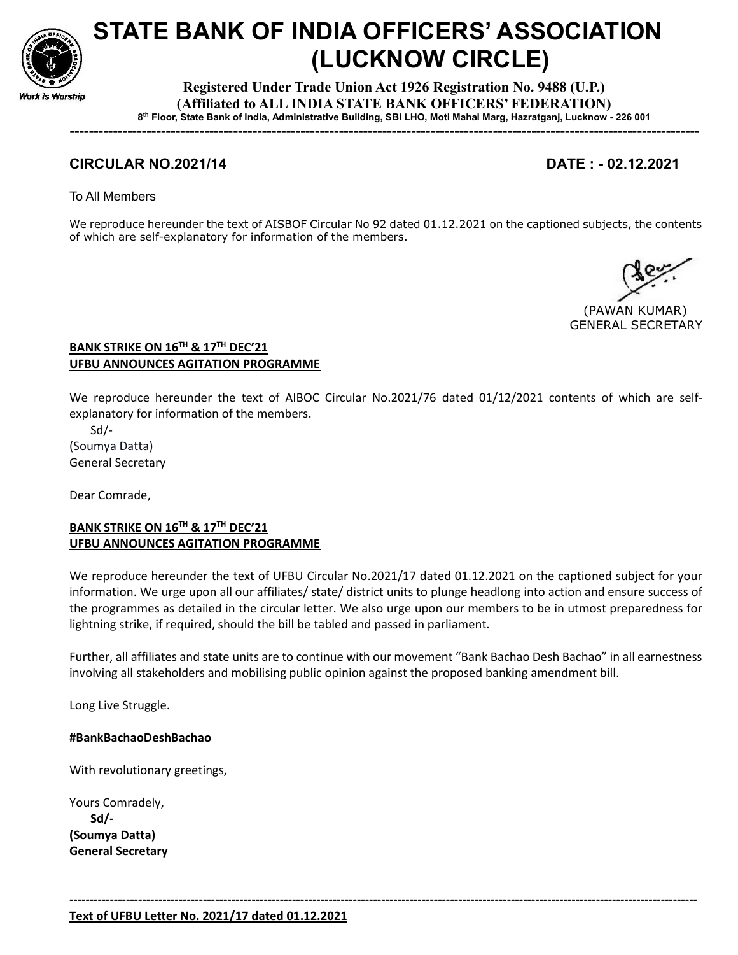

# STATE BANK OF INDIA OFFICERS' ASSOCIATION (LUCKNOW CIRCLE)

Registered Under Trade Union Act 1926 Registration No. 9488 (U.P.) (Affiliated to ALL INDIA STATE BANK OFFICERS' FEDERATION) 8 th Floor, State Bank of India, Administrative Building, SBI LHO, Moti Mahal Marg, Hazratganj, Lucknow - 226 001

-----------------------------------------------------------------------------------------------------------------------------------

# CIRCULAR NO.2021/14 DATE : - 02.12.2021

To All Members

We reproduce hereunder the text of AISBOF Circular No 92 dated 01.12.2021 on the captioned subjects, the contents of which are self-explanatory for information of the members.

 (PAWAN KUMAR) GENERAL SECRETARY

### BANK STRIKE ON 16<sup>TH</sup> & 17<sup>TH</sup> DEC'21 UFBU ANNOUNCES AGITATION PROGRAMME

We reproduce hereunder the text of AIBOC Circular No.2021/76 dated 01/12/2021 contents of which are selfexplanatory for information of the members.

 Sd/- (Soumya Datta) General Secretary

Dear Comrade,

# BANK STRIKE ON 16<sup>TH</sup> & 17<sup>TH</sup> DEC'21 UFBU ANNOUNCES AGITATION PROGRAMME

We reproduce hereunder the text of UFBU Circular No.2021/17 dated 01.12.2021 on the captioned subject for your information. We urge upon all our affiliates/ state/ district units to plunge headlong into action and ensure success of the programmes as detailed in the circular letter. We also urge upon our members to be in utmost preparedness for lightning strike, if required, should the bill be tabled and passed in parliament.

Further, all affiliates and state units are to continue with our movement "Bank Bachao Desh Bachao" in all earnestness involving all stakeholders and mobilising public opinion against the proposed banking amendment bill.

-----------------------------------------------------------------------------------------------------------------------------------------------------------

Long Live Struggle.

#### #BankBachaoDeshBachao

With revolutionary greetings,

Yours Comradely, Sd/- (Soumya Datta) General Secretary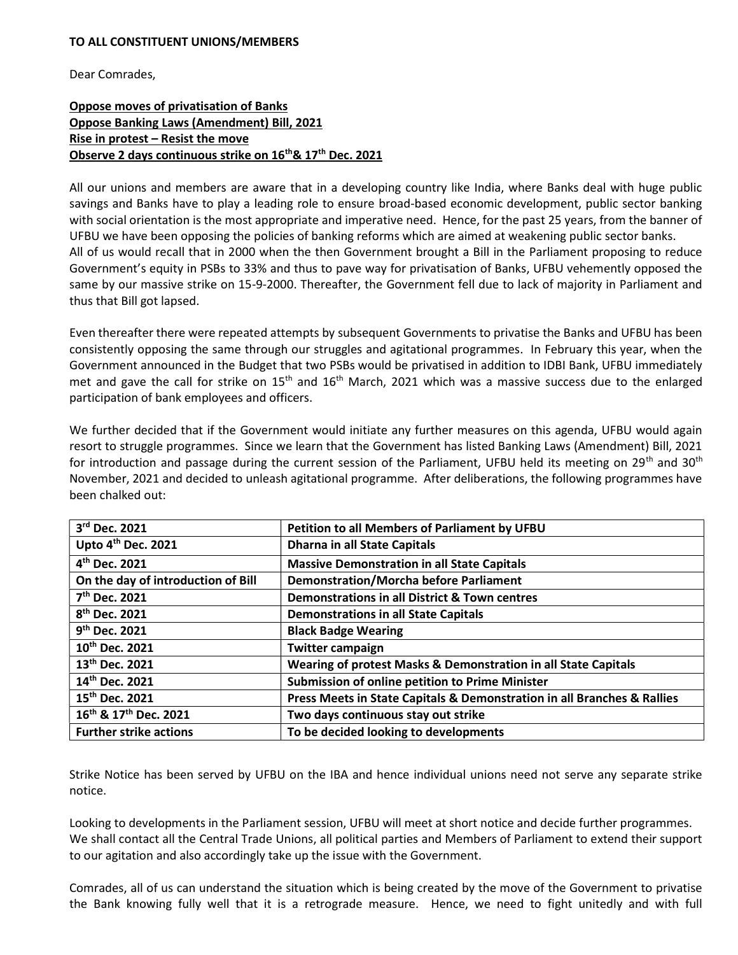#### TO ALL CONSTITUENT UNIONS/MEMBERS

Dear Comrades,

# Oppose moves of privatisation of Banks Oppose Banking Laws (Amendment) Bill, 2021 Rise in protest – Resist the move Observe 2 days continuous strike on 16<sup>th</sup> & 17<sup>th</sup> Dec. 2021

All our unions and members are aware that in a developing country like India, where Banks deal with huge public savings and Banks have to play a leading role to ensure broad-based economic development, public sector banking with social orientation is the most appropriate and imperative need. Hence, for the past 25 years, from the banner of UFBU we have been opposing the policies of banking reforms which are aimed at weakening public sector banks. All of us would recall that in 2000 when the then Government brought a Bill in the Parliament proposing to reduce Government's equity in PSBs to 33% and thus to pave way for privatisation of Banks, UFBU vehemently opposed the same by our massive strike on 15-9-2000. Thereafter, the Government fell due to lack of majority in Parliament and thus that Bill got lapsed.

Even thereafter there were repeated attempts by subsequent Governments to privatise the Banks and UFBU has been consistently opposing the same through our struggles and agitational programmes. In February this year, when the Government announced in the Budget that two PSBs would be privatised in addition to IDBI Bank, UFBU immediately met and gave the call for strike on  $15<sup>th</sup>$  and  $16<sup>th</sup>$  March, 2021 which was a massive success due to the enlarged participation of bank employees and officers.

We further decided that if the Government would initiate any further measures on this agenda, UFBU would again resort to struggle programmes. Since we learn that the Government has listed Banking Laws (Amendment) Bill, 2021 for introduction and passage during the current session of the Parliament, UFBU held its meeting on 29<sup>th</sup> and 30<sup>th</sup> November, 2021 and decided to unleash agitational programme. After deliberations, the following programmes have been chalked out:

| 3rd Dec. 2021                                 | Petition to all Members of Parliament by UFBU                           |
|-----------------------------------------------|-------------------------------------------------------------------------|
| Upto 4 <sup>th</sup> Dec. 2021                | <b>Dharna in all State Capitals</b>                                     |
| 4 <sup>th</sup> Dec. 2021                     | <b>Massive Demonstration in all State Capitals</b>                      |
| On the day of introduction of Bill            | <b>Demonstration/Morcha before Parliament</b>                           |
| 7 <sup>th</sup> Dec. 2021                     | Demonstrations in all District & Town centres                           |
| 8 <sup>th</sup> Dec. 2021                     | <b>Demonstrations in all State Capitals</b>                             |
| 9 <sup>th</sup> Dec. 2021                     | <b>Black Badge Wearing</b>                                              |
| 10th Dec. 2021                                | <b>Twitter campaign</b>                                                 |
| 13th Dec. 2021                                | Wearing of protest Masks & Demonstration in all State Capitals          |
| 14th Dec. 2021                                | <b>Submission of online petition to Prime Minister</b>                  |
| 15 <sup>th</sup> Dec. 2021                    | Press Meets in State Capitals & Demonstration in all Branches & Rallies |
| 16 <sup>th</sup> & 17 <sup>th</sup> Dec. 2021 | Two days continuous stay out strike                                     |
| <b>Further strike actions</b>                 | To be decided looking to developments                                   |

Strike Notice has been served by UFBU on the IBA and hence individual unions need not serve any separate strike notice.

Looking to developments in the Parliament session, UFBU will meet at short notice and decide further programmes. We shall contact all the Central Trade Unions, all political parties and Members of Parliament to extend their support to our agitation and also accordingly take up the issue with the Government.

Comrades, all of us can understand the situation which is being created by the move of the Government to privatise the Bank knowing fully well that it is a retrograde measure. Hence, we need to fight unitedly and with full